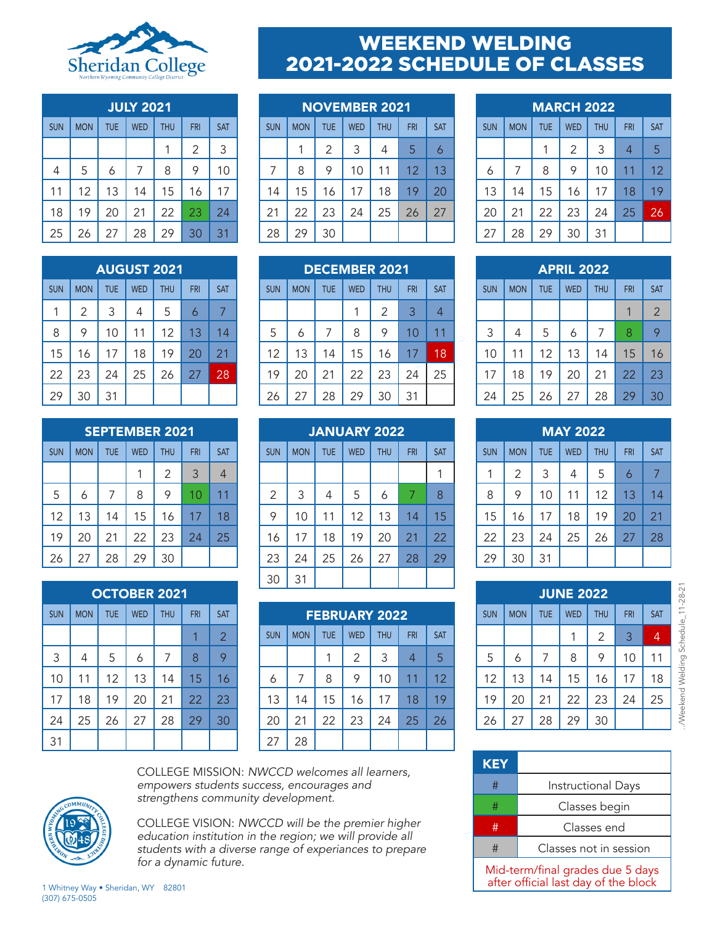

| <b>JULY 2021</b> |            |            |            |            |            |            |
|------------------|------------|------------|------------|------------|------------|------------|
| <b>SUN</b>       | <b>MON</b> | <b>TUE</b> | <b>WED</b> | <b>THU</b> | <b>FRI</b> | <b>SAT</b> |
|                  |            |            |            | 1          | 2          | 3          |
| 4                | 5          | 6          | 7          | 8          | 9          | 10         |
| 11               | 12         | 13         | 14         | 15         | 16         | 17         |
| 18               | 19         | 20         | 21         | 22         | 23         | 24         |
| 25               | 26         | 27         | 28         | 29         | 30         | 31         |

|            | <b>AUGUST 2021</b> |            |            |            |            |            |
|------------|--------------------|------------|------------|------------|------------|------------|
| <b>SUN</b> | <b>MON</b>         | <b>TUE</b> | <b>WED</b> | <b>THU</b> | <b>FRI</b> | <b>SAT</b> |
| 1          | 2                  | 3          | 4          | 5          | 6          | 7          |
| 8          | 9                  | 10         | 11         | 12         | 13         | 14         |
| 15         | 16                 | 17         | 18         | 19         | 20         | 21         |
| 22         | 23                 | 24         | 25         | 26         | 27         | 28         |
| 29         | 30                 | 31         |            |            |            |            |

|            | <b>SEPTEMBER 2021</b> |            |            |                |            |                |
|------------|-----------------------|------------|------------|----------------|------------|----------------|
| <b>SUN</b> | <b>MON</b>            | <b>TUE</b> | <b>WED</b> | <b>THU</b>     | <b>FRI</b> | <b>SAT</b>     |
|            |                       |            | 1          | $\overline{2}$ | 3          | $\overline{4}$ |
| 5          | 6                     | 7          | 8          | 9              | 10         | 11             |
| 12         | 13                    | 14         | 15         | 16             | 17         | 18             |
| 19         | 20                    | 21         | 22         | 23             | 24         | 25             |
| 26         | 27                    | 28         | 29         | 30             |            |                |

|            | <b>OCTOBER 2021</b> |            |            |            |            |                |
|------------|---------------------|------------|------------|------------|------------|----------------|
| <b>SUN</b> | <b>MON</b>          | <b>TUE</b> | <b>WED</b> | <b>THU</b> | <b>FRI</b> | <b>SAT</b>     |
|            |                     |            |            |            | 1          | $\overline{2}$ |
| 3          | 4                   | 5          | 6          | 7          | 8          | 9              |
| 10         | 11                  | 12         | 13         | 14         | 15         | 16             |
| 17         | 18                  | 19         | 20         | 21         | 22         | 23             |
| 24         | 25                  | 26         | 27         | 28         | 29         | 30             |
| 31         |                     |            |            |            |            |                |

## WEEKEND WELDING 2021-2022 SCHEDULE OF CLASSES

| <b>NOVEMBER 2021</b> |            |            |            |            |            |            |
|----------------------|------------|------------|------------|------------|------------|------------|
| <b>SUN</b>           | <b>MON</b> | <b>TUE</b> | <b>WED</b> | <b>THU</b> | <b>FRI</b> | <b>SAT</b> |
|                      | 1          | 2          | 3          | 4          | 5          | 6          |
| 7                    | 8          | 9          | 10         | 11         | 12         | 13         |
| 14                   | 15         | 16         | 17         | 18         | 19         | 20         |
| 21                   | 22         | 23         | 24         | 25         | 26         | 27         |
| 28                   | 29         | 30         |            |            |            |            |

|            | <b>DECEMBER 2021</b> |                |            |            |            |            |
|------------|----------------------|----------------|------------|------------|------------|------------|
| <b>SUN</b> | <b>MON</b>           | <b>TUE</b>     | <b>WED</b> | <b>THU</b> | <b>FRI</b> | <b>SAT</b> |
|            |                      |                |            | 2          | 3          | 4          |
| 5          | 6                    | $\overline{7}$ | 8          | 9          | 10         | 11         |
| 12         | 13                   | 14             | 15         | 16         | 17         | 18         |
| 19         | 20                   | 21             | 22         | 23         | 24         | 25         |
| 26         | 27                   | 28             | 29         | 30         | 31         |            |

|                | <b>JANUARY 2022</b> |            |            |            |            |            |
|----------------|---------------------|------------|------------|------------|------------|------------|
| <b>SUN</b>     | <b>MON</b>          | <b>TUE</b> | <b>WED</b> | <b>THU</b> | <b>FRI</b> | <b>SAT</b> |
|                |                     |            |            |            |            |            |
| $\overline{2}$ | 3                   | 4          | 5          | 6          | 7          | 8          |
| 9              | 10                  | 11         | 12         | 13         | 14         | 15         |
| 16             | 17                  | 18         | 19         | 20         | 21         | 22         |
| 23             | 24                  | 25         | 26         | 27         | 28         | 29         |
| 30             | 31                  |            |            |            |            |            |

|            |            |            | <b>FEBRUARY 2022</b> |            |                |            |
|------------|------------|------------|----------------------|------------|----------------|------------|
| <b>SUN</b> | <b>MON</b> | <b>TUE</b> | <b>WED</b>           | <b>THU</b> | <b>FRI</b>     | <b>SAT</b> |
|            |            | 1          | 2                    | 3          | $\overline{4}$ | 5          |
| 6          | 7          | 8          | 9                    | 10         | 11             | 12         |
| 13         | 14         | 15         | 16                   | 17         | 18             | 19         |
| 20         | 21         | 22         | 23                   | 24         | 25             | 26         |
| 27         | 28         |            |                      |            |                |            |

## MARCH 2022 SUN | MON | IUE | WED | IHU | FRI | SAT 1 2 3 4 5 6 | 7 | 8 | 9 | 10 | 11 | 12 13 14 15 16 17 18 19

20 | 21 | 22 | 23 | 24 | 25 <mark>| 26</mark>

27 28 29 30 31

|            |            |            | <b>APRIL 2022</b> |            |            |                |
|------------|------------|------------|-------------------|------------|------------|----------------|
| <b>SUN</b> | <b>MON</b> | <b>TUE</b> | <b>WED</b>        | <b>THU</b> | <b>FRI</b> | <b>SAT</b>     |
|            |            |            |                   |            |            | $\overline{2}$ |
| 3          | 4          | 5          | 6                 | 7          | 8          | 9              |
| 10         | 11         | 12         | 13                | 14         | 15         | 16             |
| 17         | 18         | 19         | 20                | 21         | 22         | 23             |
| 24         | 25         | 26         | 27                | 28         | 29         | 30             |

| <b>MAY 2022</b> |                |            |            |            |            |            |
|-----------------|----------------|------------|------------|------------|------------|------------|
| <b>SUN</b>      | <b>MON</b>     | <b>TUE</b> | <b>WED</b> | <b>THU</b> | <b>FRI</b> | <b>SAT</b> |
| 1               | $\overline{2}$ | 3          | 4          | 5          | 6          | 7          |
| 8               | 9              | 10         | 11         | 12         | 13         | 14         |
| 15              | 16             | 17         | 18         | 19         | 20         | 21         |
| 22              | 23             | 24         | 25         | 26         | 27         | 28         |
| 29              | 30             | 31         |            |            |            |            |

| <b>JUNE 2022</b> |            |            |            |                |            |                |
|------------------|------------|------------|------------|----------------|------------|----------------|
| <b>SUN</b>       | <b>MON</b> | <b>TUE</b> | <b>WED</b> | <b>THU</b>     | <b>FRI</b> | <b>SAT</b>     |
|                  |            |            |            | $\overline{2}$ | 3          | $\overline{4}$ |
| 5                | 6          | 7          | 8          | 9              | 10         | 11             |
| 12               | 13         | 14         | 15         | 16             | 17         | 18             |
| 19               | 20         | 21         | 22         | 23             | 24         | 25             |
| 26               | 27         | 28         | 29         | 30             |            |                |

| <b>KEY</b>                                                               |                           |  |  |  |
|--------------------------------------------------------------------------|---------------------------|--|--|--|
| #                                                                        | <b>Instructional Days</b> |  |  |  |
| #                                                                        | Classes begin             |  |  |  |
| #                                                                        | Classes end               |  |  |  |
| #                                                                        | Classes not in session    |  |  |  |
| Mid-term/final grades due 5 days<br>after official last day of the block |                           |  |  |  |

COLLEGE MISSION: *NWCCD welcomes all learners, empowers students success, encourages and strengthens community development.* 

COLLEGE VISION: *NWCCD will be the premier higher education institution in the region; we will provide all students with a diverse range of experiances to prepare for a dynamic future.* 

1 Whitney Way • Sheridan, WY 82801 (307) 675-0505